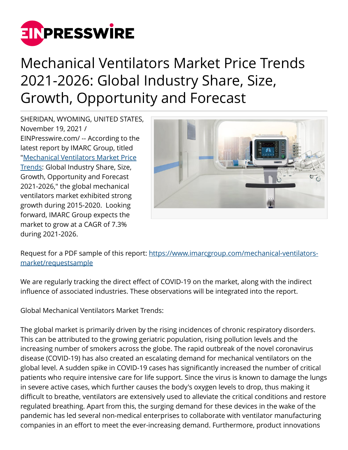

## Mechanical Ventilators Market Price Trends 2021-2026: Global Industry Share, Size, Growth, Opportunity and Forecast

SHERIDAN, WYOMING, UNITED STATES, November 19, 2021 / [EINPresswire.com](http://www.einpresswire.com)/ -- According to the latest report by IMARC Group, titled "[Mechanical Ventilators Market Price](https://www.imarcgroup.com/mechanical-ventilators-market) [Trends:](https://www.imarcgroup.com/mechanical-ventilators-market) Global Industry Share, Size, Growth, Opportunity and Forecast 2021-2026," the global mechanical ventilators market exhibited strong growth during 2015-2020. Looking forward, IMARC Group expects the market to grow at a CAGR of 7.3% during 2021-2026.



Request for a PDF sample of this report: [https://www.imarcgroup.com/mechanical-ventilators](https://www.imarcgroup.com/mechanical-ventilators-market/requestsample)[market/requestsample](https://www.imarcgroup.com/mechanical-ventilators-market/requestsample)

We are regularly tracking the direct effect of COVID-19 on the market, along with the indirect influence of associated industries. These observations will be integrated into the report.

Global Mechanical Ventilators Market Trends:

The global market is primarily driven by the rising incidences of chronic respiratory disorders. This can be attributed to the growing geriatric population, rising pollution levels and the increasing number of smokers across the globe. The rapid outbreak of the novel coronavirus disease (COVID-19) has also created an escalating demand for mechanical ventilators on the global level. A sudden spike in COVID-19 cases has significantly increased the number of critical patients who require intensive care for life support. Since the virus is known to damage the lungs in severe active cases, which further causes the body's oxygen levels to drop, thus making it difficult to breathe, ventilators are extensively used to alleviate the critical conditions and restore regulated breathing. Apart from this, the surging demand for these devices in the wake of the pandemic has led several non-medical enterprises to collaborate with ventilator manufacturing companies in an effort to meet the ever-increasing demand. Furthermore, product innovations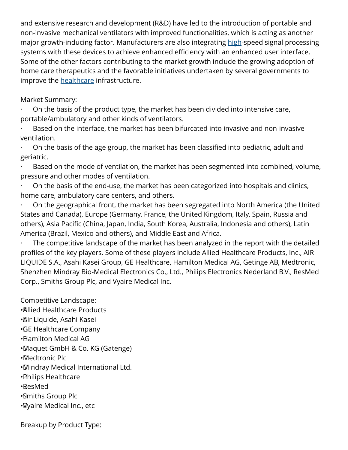and extensive research and development (R&D) have led to the introduction of portable and non-invasive mechanical ventilators with improved functionalities, which is acting as another major growth-inducing factor. Manufacturers are also integrating [high](https://www.imarcgroup.com/high-voltage-capacitor-market)-speed signal processing systems with these devices to achieve enhanced efficiency with an enhanced user interface. Some of the other factors contributing to the market growth include the growing adoption of home care therapeutics and the favorable initiatives undertaken by several governments to improve the [healthcare](https://www.imarcgroup.com/healthcare-cold-chain-logistics-market) infrastructure.

## Market Summary:

· On the basis of the product type, the market has been divided into intensive care, portable/ambulatory and other kinds of ventilators.

Based on the interface, the market has been bifurcated into invasive and non-invasive ventilation.

· On the basis of the age group, the market has been classified into pediatric, adult and geriatric.

Based on the mode of ventilation, the market has been segmented into combined, volume, pressure and other modes of ventilation.

· On the basis of the end-use, the market has been categorized into hospitals and clinics, home care, ambulatory care centers, and others.

· On the geographical front, the market has been segregated into North America (the United States and Canada), Europe (Germany, France, the United Kingdom, Italy, Spain, Russia and others), Asia Pacific (China, Japan, India, South Korea, Australia, Indonesia and others), Latin America (Brazil, Mexico and others), and Middle East and Africa.

The competitive landscape of the market has been analyzed in the report with the detailed profiles of the key players. Some of these players include Allied Healthcare Products, Inc., AIR LIQUIDE S.A., Asahi Kasei Group, GE Healthcare, Hamilton Medical AG, Getinge AB, Medtronic, Shenzhen Mindray Bio-Medical Electronics Co., Ltd., Philips Electronics Nederland B.V., ResMed Corp., Smiths Group Plc, and Vyaire Medical Inc.

Competitive Landscape:

- • Allied Healthcare Products
- • Air Liquide, Asahi Kasei
- • GE Healthcare Company
- • Hamilton Medical AG
- • Maquet GmbH & Co. KG (Gatenge)
- • Medtronic Plc
- • Mindray Medical International Ltd.
- • Philips Healthcare
- • ResMed
- • Smiths Group Plc
- • Vyaire Medical Inc., etc

Breakup by Product Type: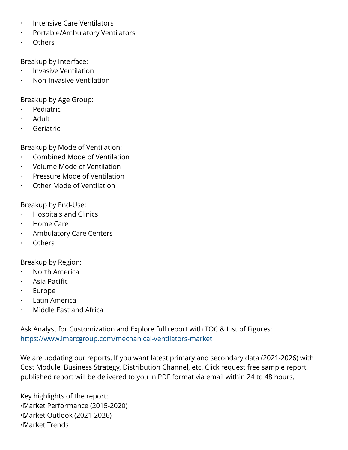- · Intensive Care Ventilators
- · Portable/Ambulatory Ventilators
- **Others**

Breakup by Interface:

- · Invasive Ventilation
- · Non-Invasive Ventilation

Breakup by Age Group:

- · Pediatric
- · Adult
- **Geriatric**

Breakup by Mode of Ventilation:

- · Combined Mode of Ventilation
- · Volume Mode of Ventilation
- · Pressure Mode of Ventilation
- · Other Mode of Ventilation

Breakup by End-Use:

- · Hospitals and Clinics
- · Home Care
- Ambulatory Care Centers
- · Others

Breakup by Region:

- · North America
- · Asia Pacific
- · Europe
- Latin America
- · Middle East and Africa

Ask Analyst for Customization and Explore full report with TOC & List of Figures: <https://www.imarcgroup.com/mechanical-ventilators-market>

We are updating our reports, If you want latest primary and secondary data (2021-2026) with Cost Module, Business Strategy, Distribution Channel, etc. Click request free sample report, published report will be delivered to you in PDF format via email within 24 to 48 hours.

Key highlights of the report: • Market Performance (2015-2020)

- • Market Outlook (2021-2026)
- • Market Trends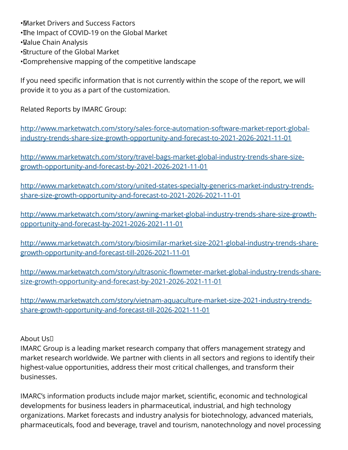• Market Drivers and Success Factors • The Impact of COVID-19 on the Global Market • Value Chain Analysis • Structure of the Global Market • Comprehensive mapping of the competitive landscape

If you need specific information that is not currently within the scope of the report, we will provide it to you as a part of the customization.

Related Reports by IMARC Group:

[http://www.marketwatch.com/story/sales-force-automation-software-market-report-global](http://www.marketwatch.com/story/sales-force-automation-software-market-report-global-industry-trends-share-size-growth-opportunity-and-forecast-to-2021-2026-2021-11-01)[industry-trends-share-size-growth-opportunity-and-forecast-to-2021-2026-2021-11-01](http://www.marketwatch.com/story/sales-force-automation-software-market-report-global-industry-trends-share-size-growth-opportunity-and-forecast-to-2021-2026-2021-11-01)

[http://www.marketwatch.com/story/travel-bags-market-global-industry-trends-share-size](http://www.marketwatch.com/story/travel-bags-market-global-industry-trends-share-size-growth-opportunity-and-forecast-by-2021-2026-2021-11-01)[growth-opportunity-and-forecast-by-2021-2026-2021-11-01](http://www.marketwatch.com/story/travel-bags-market-global-industry-trends-share-size-growth-opportunity-and-forecast-by-2021-2026-2021-11-01)

[http://www.marketwatch.com/story/united-states-specialty-generics-market-industry-trends](http://www.marketwatch.com/story/united-states-specialty-generics-market-industry-trends-share-size-growth-opportunity-and-forecast-to-2021-2026-2021-11-01)[share-size-growth-opportunity-and-forecast-to-2021-2026-2021-11-01](http://www.marketwatch.com/story/united-states-specialty-generics-market-industry-trends-share-size-growth-opportunity-and-forecast-to-2021-2026-2021-11-01)

[http://www.marketwatch.com/story/awning-market-global-industry-trends-share-size-growth](http://www.marketwatch.com/story/awning-market-global-industry-trends-share-size-growth-opportunity-and-forecast-by-2021-2026-2021-11-01)[opportunity-and-forecast-by-2021-2026-2021-11-01](http://www.marketwatch.com/story/awning-market-global-industry-trends-share-size-growth-opportunity-and-forecast-by-2021-2026-2021-11-01)

[http://www.marketwatch.com/story/biosimilar-market-size-2021-global-industry-trends-share](http://www.marketwatch.com/story/biosimilar-market-size-2021-global-industry-trends-share-growth-opportunity-and-forecast-till-2026-2021-11-01)[growth-opportunity-and-forecast-till-2026-2021-11-01](http://www.marketwatch.com/story/biosimilar-market-size-2021-global-industry-trends-share-growth-opportunity-and-forecast-till-2026-2021-11-01)

[http://www.marketwatch.com/story/ultrasonic-flowmeter-market-global-industry-trends-share](http://www.marketwatch.com/story/ultrasonic-flowmeter-market-global-industry-trends-share-size-growth-opportunity-and-forecast-by-2021-2026-2021-11-01)[size-growth-opportunity-and-forecast-by-2021-2026-2021-11-01](http://www.marketwatch.com/story/ultrasonic-flowmeter-market-global-industry-trends-share-size-growth-opportunity-and-forecast-by-2021-2026-2021-11-01)

[http://www.marketwatch.com/story/vietnam-aquaculture-market-size-2021-industry-trends](http://www.marketwatch.com/story/vietnam-aquaculture-market-size-2021-industry-trends-share-growth-opportunity-and-forecast-till-2026-2021-11-01)[share-growth-opportunity-and-forecast-till-2026-2021-11-01](http://www.marketwatch.com/story/vietnam-aquaculture-market-size-2021-industry-trends-share-growth-opportunity-and-forecast-till-2026-2021-11-01)

About Us 

IMARC Group is a leading market research company that offers management strategy and market research worldwide. We partner with clients in all sectors and regions to identify their highest-value opportunities, address their most critical challenges, and transform their businesses.

IMARC's information products include major market, scientific, economic and technological developments for business leaders in pharmaceutical, industrial, and high technology organizations. Market forecasts and industry analysis for biotechnology, advanced materials, pharmaceuticals, food and beverage, travel and tourism, nanotechnology and novel processing